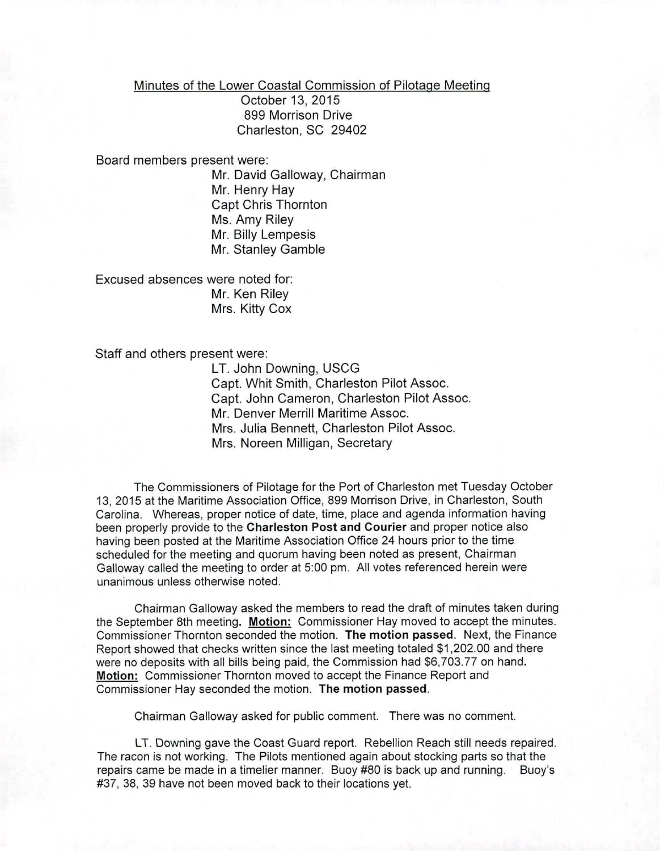Minutes of the Lower Coastal Commission of Pilotage Meeting

October 13, 2015 899 Morrison Drive Charleston, SC 29402

Board members present were:

Mr. David Galloway, Chairman Mr. Henry Hay Capt Chris Thornton Ms. Amy Riley Mr. Billy Lempesis Mr. Stanley Gamble

Excused absences were noted for: Mr. Ken Riley Mrs. Kitty Cox

*Staff* and others present were:

LT. John Downing, USCG Capt. Whit Smith, Charleston Pilot Assoc. Capt. John Cameron, Charleston Pilot Assoc. Mr. Denver Merrill Maritime Assoc. Mrs. Julia Bennett, Charleston Pilot Assoc. Mrs. Noreen Milligan, Secretary

The Commissioners of Pilotage for the Port of Charleston met Tuesday October 13, 2015 at the Maritime Association Office, 899 Morrison Drive, in Charleston, South Carolina. Whereas, proper notice of date, time, place and agenda information having been properly provide to the Charleston Post and Courier and proper notice also having been posted at the Maritime Association Office 24 hours prior to the time scheduled for the meeting and quorum having been noted as present, Chairman Galloway called the meeting to order at 5:00 pm. All votes referenced herein were unanimous unless otherwise noted.

Chairman Galloway asked the members to read the draft of minutes taken during the September 8th meeting. Motion: Commissioner Hay moved to accept the minutes. Commissioner Thornton seconded the motion. The motion passed. Next, the Finance Report showed that checks written since the last meeting totaled \$1,202.00 and there were no deposits with all bills being paid, the Commission had \$6,703.77 on hand. Motion: Commissioner Thornton moved to accept the Finance Report and Commissioner Hay seconded the motion. The motion passed.

Chairman Galloway asked for public comment. There was no comment.

LT. Downing gave the Coast Guard report. Rebellion Reach still needs repaired. The racon is not working. The Pilots mentioned again about stocking parts so that the repairs came be made in a timelier manner. Buoy #80 is back up and running. Buoy's #37, 38, 39 have not been moved back to their locations yet.